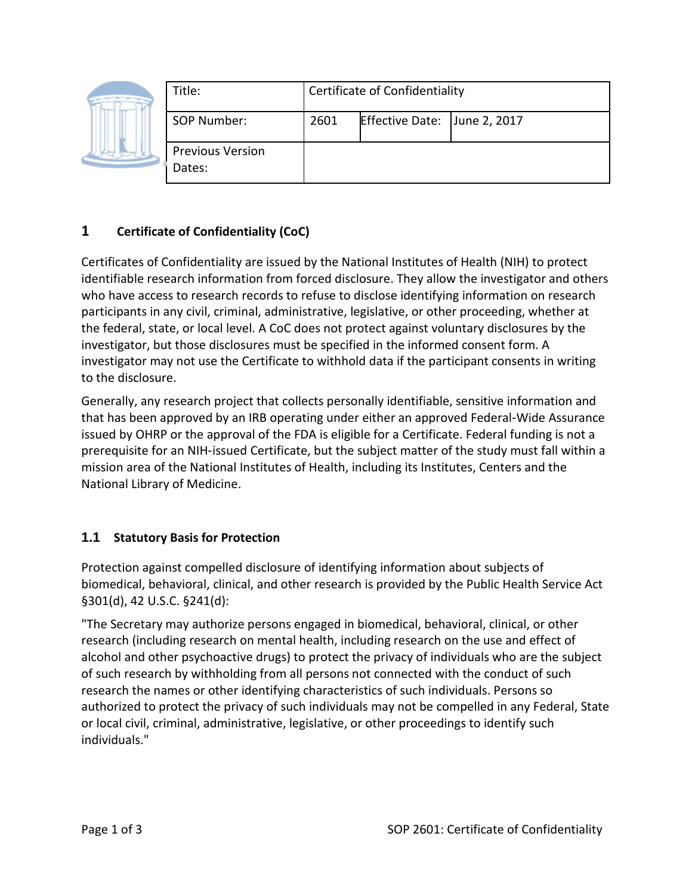|  | Title:                            | <b>Certificate of Confidentiality</b> |                              |  |
|--|-----------------------------------|---------------------------------------|------------------------------|--|
|  | SOP Number:                       | 2601                                  | Effective Date: June 2, 2017 |  |
|  | <b>Previous Version</b><br>Dates: |                                       |                              |  |

# **1 Certificate of Confidentiality (CoC)**

Certificates of Confidentiality are issued by the National Institutes of Health (NIH) to protect identifiable research information from forced disclosure. They allow the investigator and others who have access to research records to refuse to disclose identifying information on research participants in any civil, criminal, administrative, legislative, or other proceeding, whether at the federal, state, or local level. A CoC does not protect against voluntary disclosures by the investigator, but those disclosures must be specified in the informed consent form. A investigator may not use the Certificate to withhold data if the participant consents in writing to the disclosure.

Generally, any research project that collects personally identifiable, sensitive information and that has been approved by an IRB operating under either an approved Federal‐Wide Assurance issued by OHRP or the approval of the FDA is eligible for a Certificate. Federal funding is not a prerequisite for an NIH‐issued Certificate, but the subject matter of the study must fall within a mission area of the National Institutes of Health, including its Institutes, Centers and the National Library of Medicine.

## **1.1 Statutory Basis for Protection**

Protection against compelled disclosure of identifying information about subjects of biomedical, behavioral, clinical, and other research is provided by the Public Health Service Act §301(d), 42 U.S.C. §241(d):

"The Secretary may authorize persons engaged in biomedical, behavioral, clinical, or other research (including research on mental health, including research on the use and effect of alcohol and other psychoactive drugs) to protect the privacy of individuals who are the subject of such research by withholding from all persons not connected with the conduct of such research the names or other identifying characteristics of such individuals. Persons so authorized to protect the privacy of such individuals may not be compelled in any Federal, State or local civil, criminal, administrative, legislative, or other proceedings to identify such individuals."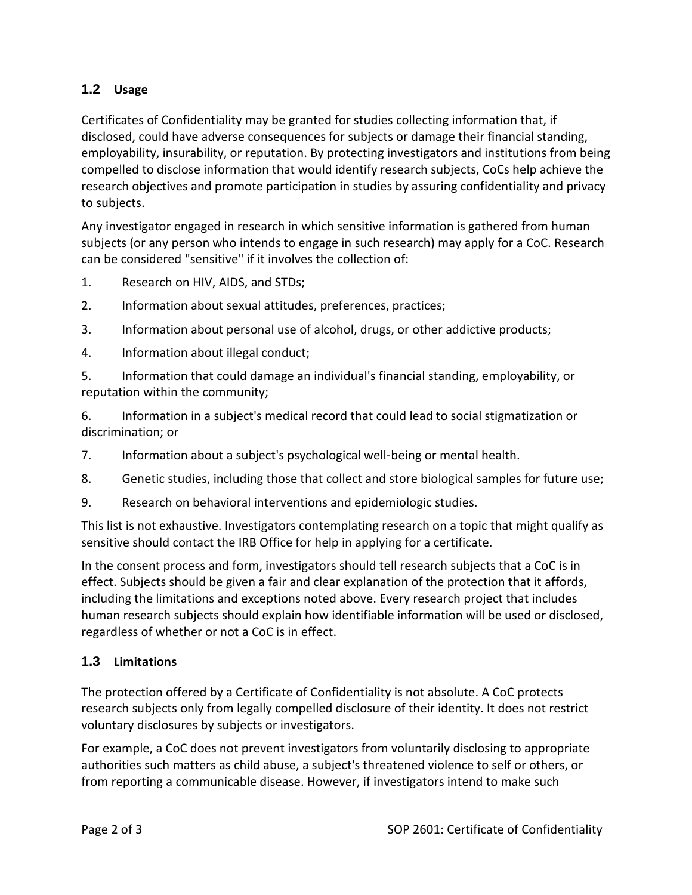## **1.2 Usage**

Certificates of Confidentiality may be granted for studies collecting information that, if disclosed, could have adverse consequences for subjects or damage their financial standing, employability, insurability, or reputation. By protecting investigators and institutions from being compelled to disclose information that would identify research subjects, CoCs help achieve the research objectives and promote participation in studies by assuring confidentiality and privacy to subjects.

Any investigator engaged in research in which sensitive information is gathered from human subjects (or any person who intends to engage in such research) may apply for a CoC. Research can be considered "sensitive" if it involves the collection of:

- 1. Research on HIV, AIDS, and STDs;
- 2. Information about sexual attitudes, preferences, practices;
- 3. Information about personal use of alcohol, drugs, or other addictive products;
- 4. Information about illegal conduct;

5. Information that could damage an individual's financial standing, employability, or reputation within the community;

6. Information in a subject's medical record that could lead to social stigmatization or discrimination; or

- 7. Information about a subject's psychological well‐being or mental health.
- 8. Genetic studies, including those that collect and store biological samples for future use;
- 9. Research on behavioral interventions and epidemiologic studies.

This list is not exhaustive. Investigators contemplating research on a topic that might qualify as sensitive should contact the IRB Office for help in applying for a certificate.

In the consent process and form, investigators should tell research subjects that a CoC is in effect. Subjects should be given a fair and clear explanation of the protection that it affords, including the limitations and exceptions noted above. Every research project that includes human research subjects should explain how identifiable information will be used or disclosed, regardless of whether or not a CoC is in effect.

## **1.3 Limitations**

The protection offered by a Certificate of Confidentiality is not absolute. A CoC protects research subjects only from legally compelled disclosure of their identity. It does not restrict voluntary disclosures by subjects or investigators.

For example, a CoC does not prevent investigators from voluntarily disclosing to appropriate authorities such matters as child abuse, a subject's threatened violence to self or others, or from reporting a communicable disease. However, if investigators intend to make such